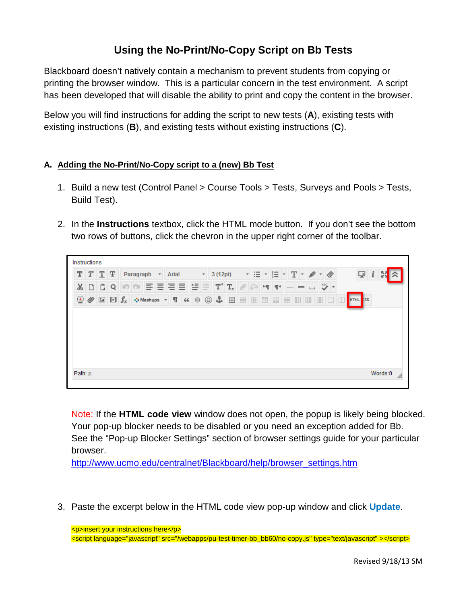## **Using the No-Print/No-Copy Script on Bb Tests**

Blackboard doesn't natively contain a mechanism to prevent students from copying or printing the browser window. This is a particular concern in the test environment. A script has been developed that will disable the ability to print and copy the content in the browser.

Below you will find instructions for adding the script to new tests (**A**), existing tests with existing instructions (**B**), and existing tests without existing instructions (**C**).

## **A. Adding the No-Print/No-Copy script to a (new) Bb Test**

- 1. Build a new test (Control Panel > Course Tools > Tests, Surveys and Pools > Tests, Build Test).
- 2. In the **Instructions** textbox, click the HTML mode button. If you don't see the bottom two rows of buttons, click the chevron in the upper right corner of the toolbar.



Note: If the **HTML code view** window does not open, the popup is likely being blocked. Your pop-up blocker needs to be disabled or you need an exception added for Bb. See the "Pop-up Blocker Settings" section of browser settings guide for your particular browser.

[http://www.ucmo.edu/centralnet/Blackboard/help/browser\\_settings.htm](http://www.ucmo.edu/centralnet/Blackboard/help/browser_settings.htm)

3. Paste the excerpt below in the HTML code view pop-up window and click **Update**.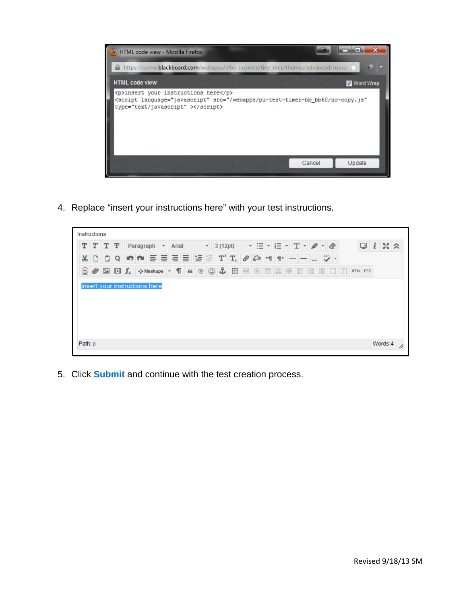

4. Replace "insert your instructions here" with your test instructions.

|    | Instructions |                          |  |            |                                                                                           |   |  |                         |         |  |                                                                                      |                  |    |  |                               |   |     |        |   |                   |                     |          |  |  |
|----|--------------|--------------------------|--|------------|-------------------------------------------------------------------------------------------|---|--|-------------------------|---------|--|--------------------------------------------------------------------------------------|------------------|----|--|-------------------------------|---|-----|--------|---|-------------------|---------------------|----------|--|--|
|    |              | $T$ $T$ $T$<br>Paragraph |  |            | * Arial                                                                                   |   |  | $\overline{\mathbf{v}}$ | 3(12pt) |  |                                                                                      | 這<br>$\cdot$ $-$ |    |  | $\left\  \mathbf{T} \right\ $ |   |     | i<br>⋤ |   |                   | $\mathbb{N} \times$ |          |  |  |
| Y, | ا تا         | O.                       |  | $Q$ in $Q$ | ≣                                                                                         | ≣ |  |                         |         |  | 들들들도 $\mathtt{T}^{\mathtt{x}}$ $\mathtt{T}_{\mathtt{x}}$ $\mathscr{O}$ $\beta$ s 에 1 |                  |    |  |                               |   |     |        |   | $\frac{ABC}{2}$ - |                     |          |  |  |
| ◉  |              |                          |  |            | $\mathscr{D}$ <b>Ex</b> $\mathbf{f}_x$ $\mathbf{\odot}$ Mashups $\mathbf{\cdot}$ <b>T</b> |   |  | 66                      |         |  | $\circ$ $\circ$ $\frac{1}{2}$ $\boxplus$                                             |                  | E. |  | 田田                            | 圈 | EB. | 唯      | H | BIOD.             |                     | HTML CSS |  |  |
|    |              |                          |  |            | insert your instructions here                                                             |   |  |                         |         |  |                                                                                      |                  |    |  |                               |   |     |        |   |                   |                     |          |  |  |
|    |              |                          |  |            |                                                                                           |   |  |                         |         |  |                                                                                      |                  |    |  |                               |   |     |        |   |                   |                     |          |  |  |

5. Click **Submit** and continue with the test creation process.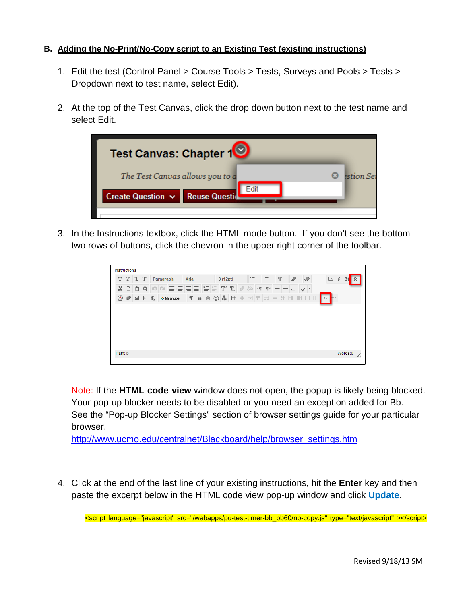## **B. Adding the No-Print/No-Copy script to an Existing Test (existing instructions)**

- 1. Edit the test (Control Panel > Course Tools > Tests, Surveys and Pools > Tests > Dropdown next to test name, select Edit).
- 2. At the top of the Test Canvas, click the drop down button next to the test name and select Edit.



3. In the Instructions textbox, click the HTML mode button. If you don't see the bottom two rows of buttons, click the chevron in the upper right corner of the toolbar.



Note: If the **HTML code view** window does not open, the popup is likely being blocked. Your pop-up blocker needs to be disabled or you need an exception added for Bb. See the "Pop-up Blocker Settings" section of browser settings guide for your particular browser.

[http://www.ucmo.edu/centralnet/Blackboard/help/browser\\_settings.htm](http://www.ucmo.edu/centralnet/Blackboard/help/browser_settings.htm)

4. Click at the end of the last line of your existing instructions, hit the **Enter** key and then paste the excerpt below in the HTML code view pop-up window and click **Update**.

<script language="javascript" src="/webapps/pu-test-timer-bb\_bb60/no-copy.js" type="text/javascript" ></script>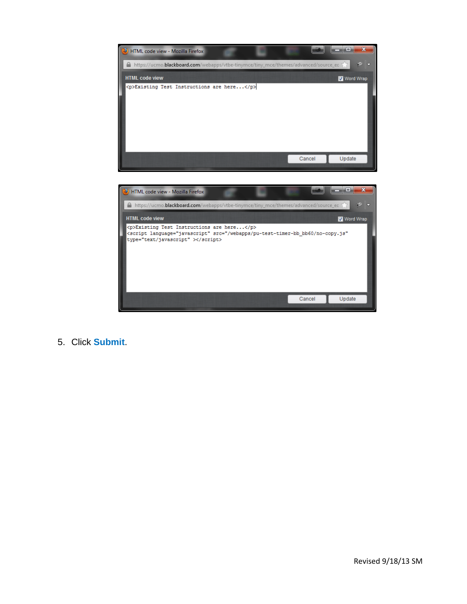



5. Click **Submit**.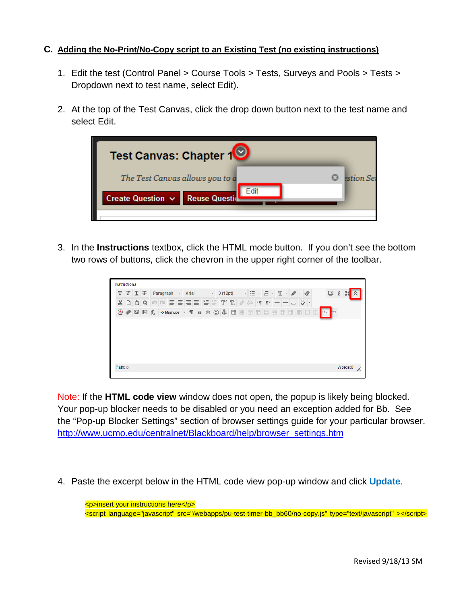## **C. Adding the No-Print/No-Copy script to an Existing Test (no existing instructions)**

- 1. Edit the test (Control Panel > Course Tools > Tests, Surveys and Pools > Tests > Dropdown next to test name, select Edit).
- 2. At the top of the Test Canvas, click the drop down button next to the test name and select Edit.



3. In the **Instructions** textbox, click the HTML mode button. If you don't see the bottom two rows of buttons, click the chevron in the upper right corner of the toolbar.

| $\sim$ Arial                                                             | Paragraph | $T$ $T$ $T$ $F$ |          |        |
|--------------------------------------------------------------------------|-----------|-----------------|----------|--------|
| Ξ<br>≣<br>≣<br>≣                                                         | IO DI     | Q               | IÔ.<br>D | X      |
| $\boxed{24}$ $\boxed{1}$ $\int_{X}$ $\div$ Mashups $\div$ $\boxed{1}$ 66 |           |                 |          | ◉<br>Ø |
|                                                                          |           |                 |          |        |
|                                                                          |           |                 |          |        |
|                                                                          |           |                 |          |        |
|                                                                          |           |                 |          |        |
|                                                                          |           |                 |          |        |
|                                                                          |           |                 |          |        |
|                                                                          |           |                 |          |        |
|                                                                          |           |                 |          |        |

Note: If the **HTML code view** window does not open, the popup is likely being blocked. Your pop-up blocker needs to be disabled or you need an exception added for Bb. See the "Pop-up Blocker Settings" section of browser settings guide for your particular browser. [http://www.ucmo.edu/centralnet/Blackboard/help/browser\\_settings.htm](http://www.ucmo.edu/centralnet/Blackboard/help/browser_settings.htm)

4. Paste the excerpt below in the HTML code view pop-up window and click **Update**.

<p>insert your instructions here</p> <script language="javascript" src="/webapps/pu-test-timer-bb\_bb60/no-copy.js" type="text/javascript" ></script>